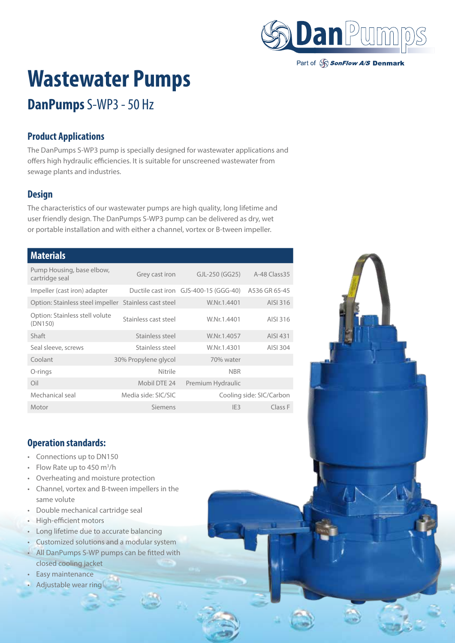

Part of SonFlow A/S Denmark

# **Wastewater Pumps**

# **DanPumps** S-WP3 - 50 Hz

### **Product Applications**

The DanPumps S-WP3 pump is specially designed for wastewater applications and offers high hydraulic efficiencies. It is suitable for unscreened wastewater from sewage plants and industries.

### **Design**

The characteristics of our wastewater pumps are high quality, long lifetime and user friendly design. The DanPumps S-WP3 pump can be delivered as dry, wet or portable installation and with either a channel, vortex or B-tween impeller.

#### **Materials**

| Pump Housing, base elbow,<br>cartridge seal | Grey cast iron       | $GL-250$ (GG25)                                     | A-48 Class 35            |
|---------------------------------------------|----------------------|-----------------------------------------------------|--------------------------|
| Impeller (cast iron) adapter                |                      | Ductile cast iron GJS-400-15 (GGG-40) A536 GR 65-45 |                          |
| Option: Stainless steel impeller            | Stainless cast steel | W.Nr.1.4401                                         | AISI 316                 |
| Option: Stainless stell volute<br>(DN150)   | Stainless cast steel | W.Nr.1.4401                                         | AISI 316                 |
| Shaft                                       | Stainless steel      | W.Nr.1.4057                                         | AISI 431                 |
| Seal sleeve, screws                         | Stainless steel      | W.Nr.1.4301                                         | AISI 304                 |
| Coolant                                     | 30% Propylene glycol | 70% water                                           |                          |
| O-rings                                     | Nitrile              | <b>NBR</b>                                          |                          |
| Oil                                         | Mobil DTE 24         | Premium Hydraulic                                   |                          |
| Mechanical seal                             | Media side: SIC/SIC  |                                                     | Cooling side: SIC/Carbon |
| Motor                                       | Siemens              | IF3                                                 | Class F                  |

#### **Operation standards:**

- Connections up to DN150
- Flow Rate up to 450 m<sup>3</sup>/h
- Overheating and moisture protection
- Channel, vortex and B-tween impellers in the same volute
- Double mechanical cartridge seal
- High-efficient motors
- Long lifetime due to accurate balancing
- Customized solutions and a modular system
- All DanPumps S-WP pumps can be fitted with closed cooling jacket
- Easy maintenance
- Adjustable wear ring